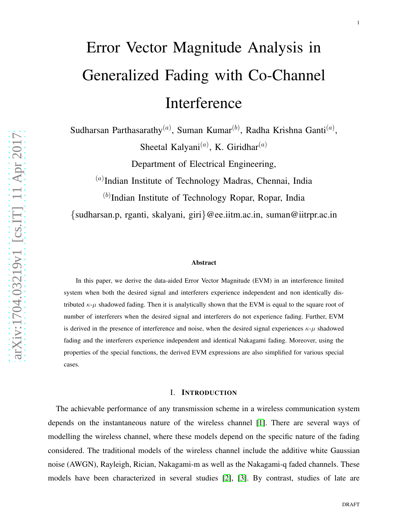# Error Vector Magnitude Analysis in Generalized Fading with Co-Channel Interference

Sudharsan Parthasarathy<sup>(a)</sup>, Suman Kumar<sup>(b)</sup>, Radha Krishna Ganti<sup>(a)</sup>,

Sheetal Kalyani<sup>(a)</sup>, K. Giridhar<sup>(a)</sup>

Department of Electrical Engineering,

(a)Indian Institute of Technology Madras, Chennai, India

 $(b)$ Indian Institute of Technology Ropar, Ropar, India

{sudharsan.p, rganti, skalyani, giri }@ee.iitm.ac.in, suman@iitrpr.ac.in

#### Abstract

In this paper, we derive the data-aided Error Vector Magnitude (EVM) in an interference limited system when both the desired signal and interferers experience independent and non identically distributed  $\kappa$ - $\mu$  shadowed fading. Then it is analytically shown that the EVM is equal to the square root of number of interferers when the desired signal and interferers do not experience fading. Further, EVM is derived in the presence of interference and noise, when the desired signal experiences  $\kappa$ - $\mu$  shadowed fading and the interferers experience independent and identical Nakagami fading. Moreover, using the properties of the special functions, the derived EVM expressions are also simplified for various special cases.

## I. INTRODUCTION

The achievable performance of any transmission scheme in a wireless communication system depends on the instantaneous nature of the wireless channel [\[1\]](#page-20-0). There are several ways of modelling the wireless channel, where these models depend on the specific nature of the fading considered. The traditional models of the wireless channel include the additive white Gaussian noise (AWGN), Rayleigh, Rician, Nakagami-m as well as the Nakagami-q faded channels. These models have been characterized in several studies [\[2\]](#page-20-1), [\[3\]](#page-20-2). By contrast, studies of late are

1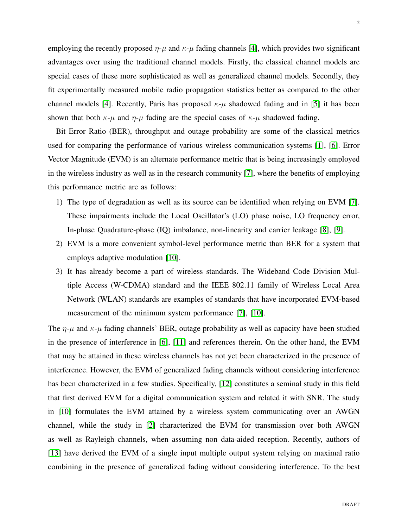employing the recently proposed  $\eta$ - $\mu$  and  $\kappa$ - $\mu$  fading channels [\[4\]](#page-20-3), which provides two significant advantages over using the traditional channel models. Firstly, the classical channel models are special cases of these more sophisticated as well as generalized channel models. Secondly, they fit experimentally measured mobile radio propagation statistics better as compared to the other channel models [\[4\]](#page-20-3). Recently, Paris has proposed  $\kappa$ - $\mu$  shadowed fading and in [\[5\]](#page-20-4) it has been shown that both  $\kappa$ -*u* and  $\eta$ -*u* fading are the special cases of  $\kappa$ -*u* shadowed fading.

Bit Error Ratio (BER), throughput and outage probability are some of the classical metrics used for comparing the performance of various wireless communication systems [\[1\]](#page-20-0), [\[6\]](#page-20-5). Error Vector Magnitude (EVM) is an alternate performance metric that is being increasingly employed in the wireless industry as well as in the research community [\[7\]](#page-20-6), where the benefits of employing this performance metric are as follows:

- 1) The type of degradation as well as its source can be identified when relying on EVM [\[7\]](#page-20-6). These impairments include the Local Oscillator's (LO) phase noise, LO frequency error, In-phase Quadrature-phase (IQ) imbalance, non-linearity and carrier leakage [\[8\]](#page-20-7), [\[9\]](#page-20-8).
- 2) EVM is a more convenient symbol-level performance metric than BER for a system that employs adaptive modulation [\[10\]](#page-20-9).
- 3) It has already become a part of wireless standards. The Wideband Code Division Multiple Access (W-CDMA) standard and the IEEE 802.11 family of Wireless Local Area Network (WLAN) standards are examples of standards that have incorporated EVM-based measurement of the minimum system performance [\[7\]](#page-20-6), [\[10\]](#page-20-9).

The  $\eta$ - $\mu$  and  $\kappa$ - $\mu$  fading channels' BER, outage probability as well as capacity have been studied in the presence of interference in [\[6\]](#page-20-5), [\[11\]](#page-20-10) and references therein. On the other hand, the EVM that may be attained in these wireless channels has not yet been characterized in the presence of interference. However, the EVM of generalized fading channels without considering interference has been characterized in a few studies. Specifically, [\[12\]](#page-20-11) constitutes a seminal study in this field that first derived EVM for a digital communication system and related it with SNR. The study in [\[10\]](#page-20-9) formulates the EVM attained by a wireless system communicating over an AWGN channel, while the study in [\[2\]](#page-20-1) characterized the EVM for transmission over both AWGN as well as Rayleigh channels, when assuming non data-aided reception. Recently, authors of [\[13\]](#page-20-12) have derived the EVM of a single input multiple output system relying on maximal ratio combining in the presence of generalized fading without considering interference. To the best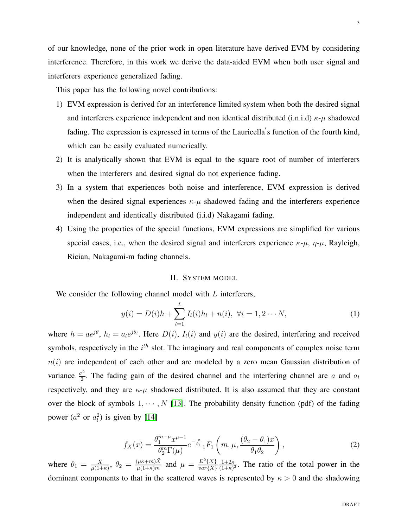of our knowledge, none of the prior work in open literature have derived EVM by considering interference. Therefore, in this work we derive the data-aided EVM when both user signal and interferers experience generalized fading.

This paper has the following novel contributions:

- 1) EVM expression is derived for an interference limited system when both the desired signal and interferers experience independent and non identical distributed (i.n.i.d)  $\kappa$ - $\mu$  shadowed fading. The expression is expressed in terms of the Lauricella′ s function of the fourth kind, which can be easily evaluated numerically.
- 2) It is analytically shown that EVM is equal to the square root of number of interferers when the interferers and desired signal do not experience fading.
- 3) In a system that experiences both noise and interference, EVM expression is derived when the desired signal experiences  $\kappa-\mu$  shadowed fading and the interferers experience independent and identically distributed (i.i.d) Nakagami fading.
- 4) Using the properties of the special functions, EVM expressions are simplified for various special cases, i.e., when the desired signal and interferers experience  $\kappa-\mu$ ,  $\eta-\mu$ , Rayleigh, Rician, Nakagami-m fading channels.

## II. SYSTEM MODEL

We consider the following channel model with L interferers,

<span id="page-2-0"></span>
$$
y(i) = D(i)h + \sum_{l=1}^{L} I_l(i)h_l + n(i), \ \forall i = 1, 2 \cdots N,
$$
 (1)

where  $h = ae^{j\theta}$ ,  $h_l = a_l e^{j\theta_l}$ . Here  $D(i)$ ,  $I_l(i)$  and  $y(i)$  are the desired, interfering and received symbols, respectively in the  $i<sup>th</sup>$  slot. The imaginary and real components of complex noise term  $n(i)$  are independent of each other and are modeled by a zero mean Gaussian distribution of variance  $\frac{\sigma^2}{2}$  $\frac{p^2}{2}$ . The fading gain of the desired channel and the interfering channel are a and  $a_l$ respectively, and they are  $\kappa$ - $\mu$  shadowed distributed. It is also assumed that they are constant over the block of symbols  $1, \dots, N$  [\[13\]](#page-20-12). The probability density function (pdf) of the fading power  $(a^2 \text{ or } a_l^2)$  is given by [\[14\]](#page-20-13)

$$
f_X(x) = \frac{\theta_1^{m-\mu} x^{\mu-1}}{\theta_2^m \Gamma(\mu)} e^{-\frac{x}{\theta_1}} {}_1F_1\left(m, \mu, \frac{(\theta_2 - \theta_1)x}{\theta_1 \theta_2}\right),
$$
 (2)

where  $\theta_1 = \frac{\bar{X}}{\mu(1+\bar{X})}$  $\frac{\bar{X}}{\mu(1+\kappa)}, \ \theta_2 = \frac{(\mu\kappa+m)\bar{X}}{\mu(1+\kappa)m}$  $\frac{(\mu\kappa+m)\bar{X}}{\mu(1+\kappa)m}$  and  $\mu = \frac{E^2\{X\}}{var\{X\}}$  $var\{X\}$  $1+2\kappa$  $\frac{1+2\kappa}{(1+\kappa)^2}$ . The ratio of the total power in the dominant components to that in the scattered waves is represented by  $\kappa > 0$  and the shadowing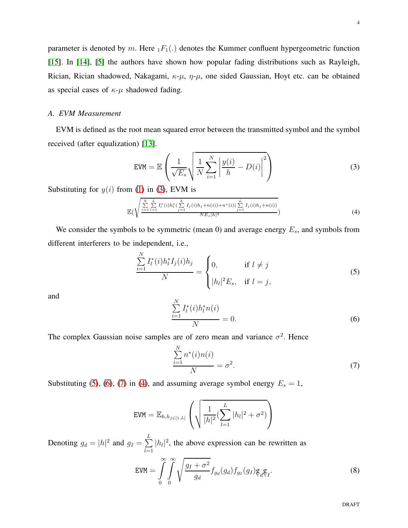## *A. EVM Measurement*

EVM is defined as the root mean squared error between the transmitted symbol and the symbol received (after equalization) [\[13\]](#page-20-12).

<span id="page-3-0"></span>
$$
\text{EVM} = \mathbb{E}\left(\frac{1}{\sqrt{E_s}}\sqrt{\frac{1}{N}\sum_{i=1}^{N}\left|\frac{y(i)}{h} - D(i)\right|^2}\right) \tag{3}
$$

Substituting for  $y(i)$  from [\(1\)](#page-2-0) in [\(3\)](#page-3-0), EVM is

as special cases of  $\kappa$ - $\mu$  shadowed fading.

<span id="page-3-4"></span>
$$
\mathbb{E}\left(\sqrt{\frac{\sum_{i=1}^{N} L_i \sum_{l=1}^{L} I_l^*(i) h_l^*(\sum_{j=1}^{L} I_j(i) h_j + n(i)) + n^*(i)(\sum_{j=1}^{L} I_j(i) h_j + n(i))}{N E_s |h|^2}}\right)
$$
(4)

We consider the symbols to be symmetric (mean 0) and average energy  $E_s$ , and symbols from different interferers to be independent, i.e.,

<span id="page-3-1"></span>
$$
\frac{\sum_{i=1}^{N} I_{l}^{*}(i)h_{l}^{*} I_{j}(i)h_{j}}{N} = \begin{cases} 0, & \text{if } l \neq j \\ |h_{l}|^{2} E_{s}, & \text{if } l = j, \end{cases}
$$
 (5)

and

<span id="page-3-2"></span>
$$
\frac{\sum_{i=1}^{N} I_i^*(i)h_i^* n(i)}{N} = 0.
$$
\n(6)

The complex Gaussian noise samples are of zero mean and variance  $\sigma^2$ . Hence

<span id="page-3-3"></span>
$$
\frac{\sum_{i=1}^{N} n^*(i)n(i)}{N} = \sigma^2.
$$
\n(7)

Substituting [\(5\)](#page-3-1), [\(6\)](#page-3-2), [\(7\)](#page-3-3) in [\(4\)](#page-3-4), and assuming average symbol energy  $E_s = 1$ ,

$$
EVM = \mathbb{E}_{h, h_{j \in [1, L]}} \left( \sqrt{\frac{1}{|h|^2} (\sum_{l=1}^{L} |h_l|^2 + \sigma^2)} \right)
$$

Denoting  $g_d = |h|^2$  and  $g_I = \sum_{i=1}^n$ L  $\sum_{l=1}^{\infty} |h_l|^2$ , the above expression can be rewritten as

<span id="page-3-5"></span>
$$
EVM = \int_{0}^{\infty} \int_{0}^{\infty} \sqrt{\frac{g_I + \sigma^2}{g_d}} f_{g_d}(g_d) f_{g_I}(g_I) g_d g_I.
$$
 (8)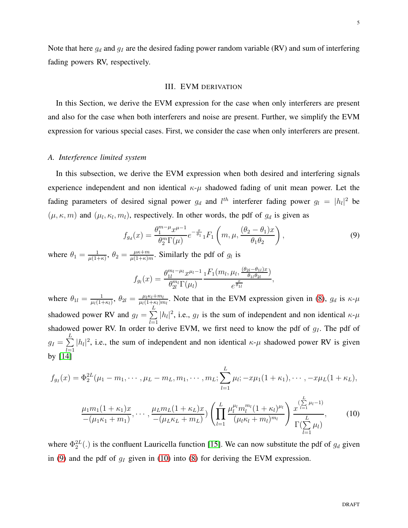Note that here  $g_d$  and  $g_I$  are the desired fading power random variable (RV) and sum of interfering fading powers RV, respectively.

#### III. EVM DERIVATION

In this Section, we derive the EVM expression for the case when only interferers are present and also for the case when both interferers and noise are present. Further, we simplify the EVM expression for various special cases. First, we consider the case when only interferers are present.

#### *A. Interference limited system*

In this subsection, we derive the EVM expression when both desired and interfering signals experience independent and non identical  $\kappa-\mu$  shadowed fading of unit mean power. Let the fading parameters of desired signal power  $g_d$  and  $l^{th}$  interferer fading power  $g_l = |h_l|^2$  be  $(\mu, \kappa, m)$  and  $(\mu_l, \kappa_l, m_l)$ , respectively. In other words, the pdf of  $g_d$  is given as

<span id="page-4-0"></span>
$$
f_{g_d}(x) = \frac{\theta_1^{m-\mu} x^{\mu-1}}{\theta_2^m \Gamma(\mu)} e^{-\frac{x}{\theta_1}} {}_1F_1\left(m, \mu, \frac{(\theta_2 - \theta_1)x}{\theta_1 \theta_2}\right),
$$
\n(9)

where  $\theta_1 = \frac{1}{\mu(1+\mu)}$  $\frac{1}{\mu(1+\kappa)}, \theta_2 = \frac{\mu\kappa+m}{\mu(1+\kappa)n}$  $rac{\mu\kappa+m}{\mu(1+\kappa)m}$ . Similarly the pdf of  $g_l$  is

$$
f_{g_l}(x) = \frac{\theta_{1l}^{m_l - \mu_l} x^{\mu_l - 1}}{\theta_{2l}^{m_l} \Gamma(\mu_l)} \frac{{}_{1}F_1(m_l, \mu_l, \frac{(\theta_{2l} - \theta_{1l})x}{\theta_{1l} \theta_{2l}})}{e^{\frac{x}{\theta_{1l}}}},
$$

where  $\theta_{1l} = \frac{1}{\mu_l(1 - \mu_l)}$  $\frac{1}{\mu_l(1+\kappa_l)}, \theta_{2l} = \frac{\mu_l \kappa_l+m_l}{\mu_l(1+\kappa_l)m}$  $\frac{\mu_l \kappa_l + m_l}{\mu_l (1 + \kappa_l) m_l}$ . Note that in the EVM expression given in [\(8\)](#page-3-5),  $g_d$  is  $\kappa$ - $\mu$ shadowed power RV and  $g_I = \sum$ L shadowed power RV. In order to derive EVM, we first need to know the pdf of  $g_I$ . The pdf of  $|h_l|^2$ , i.e.,  $g_l$  is the sum of independent and non identical  $\kappa$ - $\mu$  $g_I=\sum$ L  $\sum_{l=1}^{\infty} |h_l|^2$ , i.e., the sum of independent and non identical  $\kappa$ - $\mu$  shadowed power RV is given by [\[14\]](#page-20-13)

$$
f_{g_I}(x) = \Phi_2^{2L}(\mu_1 - m_1, \cdots, \mu_L - m_L, m_1, \cdots, m_L; \sum_{l=1}^L \mu_l; -x\mu_1(1+\kappa_1), \cdots, -x\mu_L(1+\kappa_L),
$$

<span id="page-4-1"></span>
$$
\frac{\mu_1 m_1 (1 + \kappa_1)x}{-(\mu_1 \kappa_1 + m_1)}, \cdots, \frac{\mu_L m_L (1 + \kappa_L)x}{-(\mu_L \kappa_L + m_L)} \left( \prod_{l=1}^L \frac{\mu_l^{\mu_l} m_l^{m_l} (1 + \kappa_l)^{\mu_l}}{(\mu_l \kappa_l + m_l)^{m_l}} \right) \frac{\sum_{l=1}^L \mu_l}{\Gamma(\sum_{l=1}^L \mu_l)}, \qquad (10)
$$

where  $\Phi_2^{2L}(.)$  is the confluent Lauricella function [\[15\]](#page-20-14). We can now substitute the pdf of  $g_d$  given in [\(9\)](#page-4-0) and the pdf of  $g_I$  given in [\(10\)](#page-4-1) into [\(8\)](#page-3-5) for deriving the EVM expression.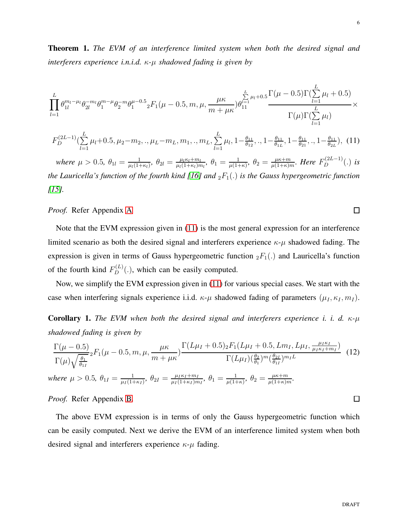<span id="page-5-2"></span>Theorem 1. *The EVM of an interference limited system when both the desired signal and interferers experience i.n.i.d.* κ*-*µ *shadowed fading is given by*

$$
\prod_{l=1}^{L} \theta_{1l}^{m_l-\mu_l} \theta_{2l}^{-m_l} \theta_1^{m-\mu} \theta_2^{-m} \theta_1^{\mu-0.5} {}_2F_1(\mu-0.5, m, \mu, \frac{\mu \kappa}{m+\mu \kappa}) \theta_{11}^{\sum_{l=1}^{L} \mu_l+0.5} \frac{\Gamma(\mu-0.5) \Gamma(\sum_{l=1}^{L} \mu_l+0.5)}{\Gamma(\mu) \Gamma(\sum_{l=1}^{L} \mu_l)} \times
$$

<span id="page-5-0"></span>
$$
F_D^{(2L-1)}(\sum_{l=1}^L \mu_l + 0.5, \mu_2 - m_2,., \mu_L - m_L, m_1,., m_L, \sum_{l=1}^L \mu_l, 1 - \frac{\theta_{11}}{\theta_{12}},., 1 - \frac{\theta_{11}}{\theta_{1L}}, 1 - \frac{\theta_{11}}{\theta_{21}},., 1 - \frac{\theta_{11}}{\theta_{2L}}), (11)
$$

*where*  $\mu > 0.5$ ,  $\theta_{1l} = \frac{1}{\mu_l (1 + l)}$  $\frac{1}{\mu_l(1+\kappa_l)}, \theta_{2l} = \frac{\mu_l \kappa_l + m_l}{\mu_l(1+\kappa_l)n}$  $\frac{\mu_l \kappa_l+m_l}{\mu_l(1+\kappa_l)m_l},\ \theta_1=\frac{1}{\mu(1+\mu)}$  $\frac{1}{\mu(1+\kappa)}, \ \theta_2 = \frac{\mu\kappa+m}{\mu(1+\kappa)n}$  $\frac{\mu \kappa+m}{\mu(1+\kappa)m}$ *. Here*  $F_D^{(2L-1)}(.)$  *is the Lauricella's function of the fourth kind [\[16\]](#page-20-15) and*  $_2F_1(.)$  *is the Gauss hypergeometric function [\[15\]](#page-20-14).*

*Proof.* Refer Appendix [A](#page-14-0)

Note that the EVM expression given in [\(11\)](#page-5-0) is the most general expression for an interference limited scenario as both the desired signal and interferers experience  $\kappa-\mu$  shadowed fading. The expression is given in terms of Gauss hypergeometric function  ${}_2F_1(.)$  and Lauricella's function of the fourth kind  $F_D^{(L)}(.)$ , which can be easily computed.

Now, we simplify the EVM expression given in [\(11\)](#page-5-0) for various special cases. We start with the case when interfering signals experience i.i.d.  $\kappa-\mu$  shadowed fading of parameters  $(\mu_I, \kappa_I, m_I)$ .

<span id="page-5-3"></span>Corollary 1. *The EVM when both the desired signal and interferers experience i. i. d.* κ*-*µ *shadowed fading is given by*

<span id="page-5-1"></span>
$$
\frac{\Gamma(\mu - 0.5)}{\Gamma(\mu)\sqrt{\frac{\theta_1}{\theta_{1I}}}} {}_2F_1(\mu - 0.5, m, \mu, \frac{\mu \kappa}{m + \mu \kappa}) \frac{\Gamma(L\mu_I + 0.5) {}_2F_1(L\mu_I + 0.5, Lm_I, L\mu_I, \frac{\mu_I \kappa_I}{\mu_I \kappa_I + m_I})}{\Gamma(L\mu_I) (\frac{\theta_2}{\theta_1})^m (\frac{\theta_2 I}{\theta_1})^{m_I L}} \quad (12)
$$
\nwhere  $\mu > 0.5$ ,  $\theta_{1I} = \frac{1}{\mu_I(1 + \kappa_I)}$ ,  $\theta_{2I} = \frac{\mu_I \kappa_I + m_I}{\mu_I(1 + \kappa_I) m_I}$ ,  $\theta_1 = \frac{1}{\mu(1 + \kappa)}$ ,  $\theta_2 = \frac{\mu \kappa + m_I}{\mu(1 + \kappa_I) m_I}$ .

*Proof.* Refer Appendix [B.](#page-17-0)

The above EVM expression is in terms of only the Gauss hypergeometric function which can be easily computed. Next we derive the EVM of an interference limited system when both desired signal and interferers experience  $\kappa$ - $\mu$  fading.

 $\Box$ 

 $\Box$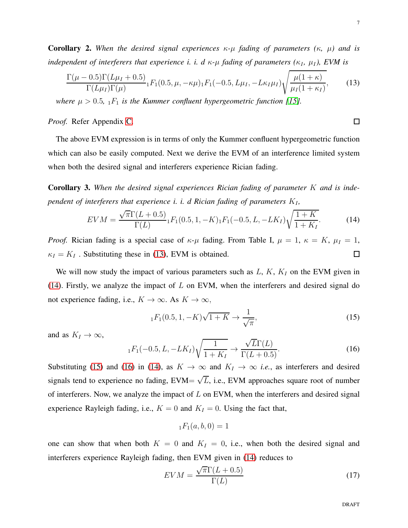$\Box$ 

Corollary 2. *When the desired signal experiences* κ*-*µ *fading of parameters (*κ*,* µ*) and is independent of interferers that experience i. i. d*  $\kappa$ *-* $\mu$  *fading of parameters (* $\kappa$ *<sub>I</sub>,*  $\mu$ *<sub>I</sub>), EVM is* 

<span id="page-6-0"></span>
$$
\frac{\Gamma(\mu - 0.5)\Gamma(L\mu_I + 0.5)}{\Gamma(L\mu_I)\Gamma(\mu)} {}_1F_1(0.5, \mu, -\kappa\mu)_1F_1(-0.5, L\mu_I, -L\kappa_I\mu_I)\sqrt{\frac{\mu(1+\kappa)}{\mu_I(1+\kappa_I)}},\tag{13}
$$

*where*  $\mu > 0.5$ ,  $_1F_1$  *is the Kummer confluent hypergeometric function [\[15\]](#page-20-14).* 

*Proof.* Refer Appendix [C.](#page-18-0)

The above EVM expression is in terms of only the Kummer confluent hypergeometric function which can also be easily computed. Next we derive the EVM of an interference limited system when both the desired signal and interferers experience Rician fading.

Corollary 3. *When the desired signal experiences Rician fading of parameter* K *and is independent of interferers that experience i. i. d Rician fading of parameters*  $K_I$ ,

<span id="page-6-1"></span>
$$
EVM = \frac{\sqrt{\pi} \Gamma(L+0.5)}{\Gamma(L)} {}_1F_1(0.5, 1, -K)_1F_1(-0.5, L, -LK_I)\sqrt{\frac{1+K}{1+K_I}}.
$$
 (14)

*Proof.* Rician fading is a special case of  $\kappa$ - $\mu$  fading. From Table I,  $\mu = 1$ ,  $\kappa = K$ ,  $\mu_I = 1$ ,  $\kappa_I = K_I$ . Substituting these in [\(13\)](#page-6-0), EVM is obtained.  $\Box$ 

We will now study the impact of various parameters such as  $L, K, K<sub>I</sub>$  on the EVM given in [\(14\)](#page-6-1). Firstly, we analyze the impact of  $L$  on EVM, when the interferers and desired signal do not experience fading, i.e.,  $K \to \infty$ . As  $K \to \infty$ ,

<span id="page-6-2"></span>
$$
{}_1F_1(0.5, 1, -K)\sqrt{1+K} \to \frac{1}{\sqrt{\pi}},
$$
 (15)

and as  $K_I \to \infty$ ,

<span id="page-6-3"></span>
$$
_{1}F_{1}(-0.5, L, -LK_{I})\sqrt{\frac{1}{1+K_{I}}} \rightarrow \frac{\sqrt{L}\Gamma(L)}{\Gamma(L+0.5)}.
$$
 (16)

Substituting [\(15\)](#page-6-2) and [\(16\)](#page-6-3) in [\(14\)](#page-6-1), as  $K \to \infty$  and  $K_I \to \infty$  *i.e.*, as interferers and desired signals tend to experience no fading, EVM=  $\sqrt{L}$ , i.e., EVM approaches square root of number of interferers. Now, we analyze the impact of  $L$  on EVM, when the interferers and desired signal experience Rayleigh fading, i.e.,  $K = 0$  and  $K_I = 0$ . Using the fact that,

$$
_1F_1(a,b,0)=1
$$

one can show that when both  $K = 0$  and  $K_I = 0$ , i.e., when both the desired signal and interferers experience Rayleigh fading, then EVM given in [\(14\)](#page-6-1) reduces to

<span id="page-6-4"></span>
$$
EVM = \frac{\sqrt{\pi} \Gamma(L + 0.5)}{\Gamma(L)}
$$
\n(17)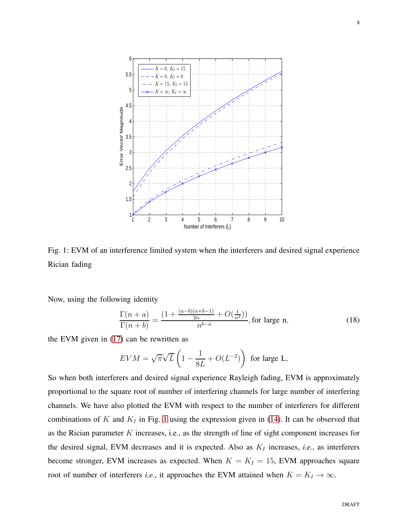<span id="page-7-0"></span>

Fig. 1: EVM of an interference limited system when the interferers and desired signal experience Rician fading

Now, using the following identity

<span id="page-7-1"></span>
$$
\frac{\Gamma(n+a)}{\Gamma(n+b)} = \frac{(1 + \frac{(a-b)(a+b-1)}{2n} + O(\frac{1}{n^2}))}{n^{b-a}}, \text{ for large } n,
$$
\n(18)

the EVM given in [\(17\)](#page-6-4) can be rewritten as

$$
EVM = \sqrt{\pi}\sqrt{L}\left(1 - \frac{1}{8L} + O(L^{-2})\right)
$$
 for large L,

So when both interferers and desired signal experience Rayleigh fading, EVM is approximately proportional to the square root of number of interfering channels for large number of interfering channels. We have also plotted the EVM with respect to the number of interferers for different combinations of K and  $K_I$  in Fig. [1](#page-7-0) using the expression given in [\(14\)](#page-6-1). It can be observed that as the Rician parameter  $K$  increases, i.e., as the strength of line of sight component increases for the desired signal, EVM decreases and it is expected. Also as  $K_I$  increases, *i.e.*, as interferers become stronger, EVM increases as expected. When  $K = K_I = 15$ , EVM approaches square root of number of interferers *i.e.*, it approaches the EVM attained when  $K = K_I \rightarrow \infty$ .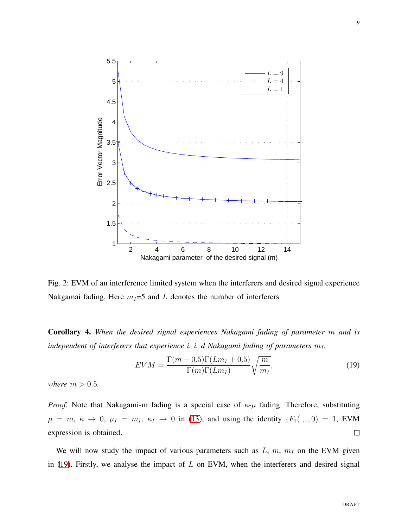<span id="page-8-1"></span>

Fig. 2: EVM of an interference limited system when the interferers and desired signal experience Nakgamai fading. Here  $m_I=5$  and L denotes the number of interferers

Corollary 4. *When the desired signal experiences Nakagami fading of parameter* m *and is independent of interferers that experience i. i. d Nakagami fading of parameters*  $m_I$ ,

<span id="page-8-0"></span>
$$
EVM = \frac{\Gamma(m - 0.5)\Gamma(Lm_I + 0.5)}{\Gamma(m)\Gamma(Lm_I)}\sqrt{\frac{m}{m_I}},\tag{19}
$$

*where*  $m > 0.5$ *.* 

*Proof.* Note that Nakagami-m fading is a special case of  $\kappa$ - $\mu$  fading. Therefore, substituting  $\mu = m, \kappa \to 0, \mu_I = m_I, \kappa_I \to 0$  in [\(13\)](#page-6-0), and using the identity  $_1F_1(., ., 0) = 1$ , EVM  $\Box$ expression is obtained.

We will now study the impact of various parameters such as  $L$ ,  $m$ ,  $m<sub>I</sub>$  on the EVM given in [\(19\)](#page-8-0). Firstly, we analyse the impact of  $L$  on EVM, when the interferers and desired signal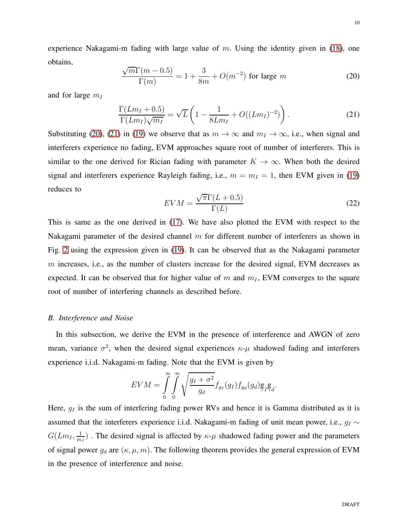experience Nakagami-m fading with large value of  $m$ . Using the identity given in [\(18\)](#page-7-1), one obtains,

<span id="page-9-0"></span>
$$
\frac{\sqrt{m}\Gamma(m-0.5)}{\Gamma(m)} = 1 + \frac{3}{8m} + O(m^{-2})
$$
 for large m (20)

and for large  $m_I$ 

<span id="page-9-1"></span>
$$
\frac{\Gamma(Lm_I + 0.5)}{\Gamma(Lm_I)\sqrt{m_I}} = \sqrt{L}\left(1 - \frac{1}{8Lm_I} + O((Lm_I)^{-2})\right). \tag{21}
$$

Substituting [\(20\)](#page-9-0), [\(21\)](#page-9-1) in [\(19\)](#page-8-0) we observe that as  $m \to \infty$  and  $m_I \to \infty$ , i.e., when signal and interferers experience no fading, EVM approaches square root of number of interferers. This is similar to the one derived for Rician fading with parameter  $K \to \infty$ . When both the desired signal and interferers experience Rayleigh fading, i.e.,  $m = m<sub>I</sub> = 1$ , then EVM given in [\(19\)](#page-8-0) reduces to

<span id="page-9-2"></span>
$$
EVM = \frac{\sqrt{\pi} \Gamma(L + 0.5)}{\Gamma(L)}
$$
\n(22)

This is same as the one derived in [\(17\)](#page-6-4). We have also plotted the EVM with respect to the Nakagami parameter of the desired channel  $m$  for different number of interferers as shown in Fig. [2](#page-8-1) using the expression given in [\(19\)](#page-8-0). It can be observed that as the Nakagami parameter m increases, i.e., as the number of clusters increase for the desired signal, EVM decreases as expected. It can be observed that for higher value of m and  $m<sub>I</sub>$ , EVM converges to the square root of number of interfering channels as described before.

#### *B. Interference and Noise*

In this subsection, we derive the EVM in the presence of interference and AWGN of zero mean, variance  $\sigma^2$ , when the desired signal experiences  $\kappa$ - $\mu$  shadowed fading and interferers experience i.i.d. Nakagami-m fading. Note that the EVM is given by

$$
EVM = \int_{0}^{\infty} \int_{0}^{\infty} \sqrt{\frac{g_I + \sigma^2}{g_d}} f_{g_I}(g_I) f_{g_d}(g_d) g_I g_d.
$$

Here,  $g_I$  is the sum of interfering fading power RVs and hence it is Gamma distributed as it is assumed that the interferers experience i.i.d. Nakagami-m fading of unit mean power, i.e.,  $g_I \sim$  $G(Lm_I, \frac{1}{m_I})$  $\frac{1}{m_1}$ ). The desired signal is affected by  $\kappa$ - $\mu$  shadowed fading power and the parameters of signal power  $g_d$  are  $(\kappa, \mu, m)$ . The following theorem provides the general expression of EVM in the presence of interference and noise.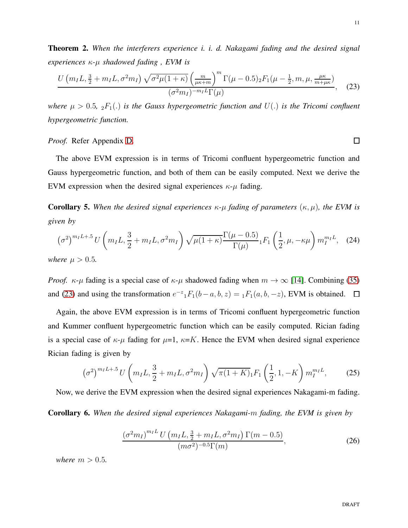$\Box$ 

<span id="page-10-4"></span>Theorem 2. *When the interferers experience i. i. d. Nakagami fading and the desired signal experiences* κ*-*µ *shadowed fading , EVM is*

<span id="page-10-0"></span>
$$
\frac{U(m_{I}L, \frac{3}{2} + m_{I}L, \sigma^{2}m_{I})\sqrt{\sigma^{2}\mu(1+\kappa)}\left(\frac{m}{\mu\kappa+m}\right)^{m}\Gamma(\mu-0.5)_{2}F_{1}(\mu-\frac{1}{2}, m, \mu, \frac{\mu\kappa}{m+\mu\kappa})}{(\sigma^{2}m_{I})^{-m_{I}L}\Gamma(\mu)},
$$
(23)

*where*  $\mu > 0.5$ ,  $_2F_1(.)$  *is the Gauss hypergeometric function and*  $U(.)$  *is the Tricomi confluent hypergeometric function.*

#### *Proof.* Refer Appendix [D.](#page-19-0)

The above EVM expression is in terms of Tricomi confluent hypergeometric function and Gauss hypergeometric function, and both of them can be easily computed. Next we derive the EVM expression when the desired signal experiences  $\kappa$ - $\mu$  fading.

**Corollary 5.** When the desired signal experiences  $\kappa$ - $\mu$  fading of parameters  $(\kappa, \mu)$ , the EVM is *given by*

<span id="page-10-1"></span>
$$
(\sigma^2)^{m_I L + .5} U \left( m_I L, \frac{3}{2} + m_I L, \sigma^2 m_I \right) \sqrt{\mu (1 + \kappa)} \frac{\Gamma(\mu - 0.5)}{\Gamma(\mu)} {}_1 F_1 \left( \frac{1}{2}, \mu, -\kappa \mu \right) m_I^{m_I L}, \quad (24)
$$

*where*  $\mu > 0.5$ *.* 

*Proof.*  $\kappa$ - $\mu$  fading is a special case of  $\kappa$ - $\mu$  shadowed fading when  $m \to \infty$  [\[14\]](#page-20-13). Combining [\(35\)](#page-18-1) and [\(23\)](#page-10-0) and using the transformation  $e^{-z} {}_1F_1(b-a, b, z) = {}_1F_1(a, b, -z)$ , EVM is obtained.

Again, the above EVM expression is in terms of Tricomi confluent hypergeometric function and Kummer confluent hypergeometric function which can be easily computed. Rician fading is a special case of  $\kappa$ - $\mu$  fading for  $\mu$ =1,  $\kappa$ =K. Hence the EVM when desired signal experience Rician fading is given by

<span id="page-10-3"></span>
$$
\left(\sigma^2\right)^{m_I L + .5} U \left(m_I L, \frac{3}{2} + m_I L, \sigma^2 m_I\right) \sqrt{\pi (1 + K)} {}_1 F_1 \left(\frac{1}{2}, 1, -K\right) m_I^{m_I L},\tag{25}
$$

Now, we derive the EVM expression when the desired signal experiences Nakagami-m fading.

Corollary 6. *When the desired signal experiences Nakagami-*m *fading, the EVM is given by*

<span id="page-10-2"></span>
$$
\frac{\left(\sigma^2 m_I\right)^{m_I L} U \left(m_I L, \frac{3}{2} + m_I L, \sigma^2 m_I\right) \Gamma(m - 0.5)}{(m \sigma^2)^{-0.5} \Gamma(m)},\tag{26}
$$

*where*  $m > 0.5$ *.*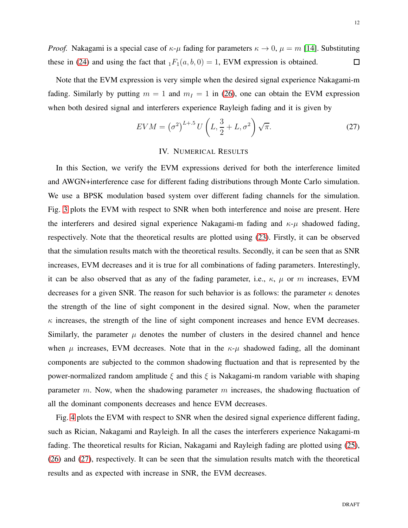*Proof.* Nakagami is a special case of  $\kappa-\mu$  fading for parameters  $\kappa \to 0$ ,  $\mu = m$  [\[14\]](#page-20-13). Substituting these in [\(24\)](#page-10-1) and using the fact that  $_1F_1(a, b, 0) = 1$ , EVM expression is obtained.  $\Box$ 

Note that the EVM expression is very simple when the desired signal experience Nakagami-m fading. Similarly by putting  $m = 1$  and  $m<sub>I</sub> = 1$  in [\(26\)](#page-10-2), one can obtain the EVM expression when both desired signal and interferers experience Rayleigh fading and it is given by

<span id="page-11-0"></span>
$$
EVM = \left(\sigma^2\right)^{L+5} U\left(L, \frac{3}{2} + L, \sigma^2\right) \sqrt{\pi}.
$$
 (27)

#### IV. NUMERICAL RESULTS

In this Section, we verify the EVM expressions derived for both the interference limited and AWGN+interference case for different fading distributions through Monte Carlo simulation. We use a BPSK modulation based system over different fading channels for the simulation. Fig. [3](#page-12-0) plots the EVM with respect to SNR when both interference and noise are present. Here the interferers and desired signal experience Nakagami-m fading and  $\kappa$ - $\mu$  shadowed fading, respectively. Note that the theoretical results are plotted using [\(23\)](#page-10-0). Firstly, it can be observed that the simulation results match with the theoretical results. Secondly, it can be seen that as SNR increases, EVM decreases and it is true for all combinations of fading parameters. Interestingly, it can be also observed that as any of the fading parameter, i.e.,  $\kappa$ ,  $\mu$  or m increases, EVM decreases for a given SNR. The reason for such behavior is as follows: the parameter  $\kappa$  denotes the strength of the line of sight component in the desired signal. Now, when the parameter  $\kappa$  increases, the strength of the line of sight component increases and hence EVM decreases. Similarly, the parameter  $\mu$  denotes the number of clusters in the desired channel and hence when  $\mu$  increases, EVM decreases. Note that in the  $\kappa-\mu$  shadowed fading, all the dominant components are subjected to the common shadowing fluctuation and that is represented by the power-normalized random amplitude  $\xi$  and this  $\xi$  is Nakagami-m random variable with shaping parameter m. Now, when the shadowing parameter  $m$  increases, the shadowing fluctuation of all the dominant components decreases and hence EVM decreases.

Fig. [4](#page-13-0) plots the EVM with respect to SNR when the desired signal experience different fading, such as Rician, Nakagami and Rayleigh. In all the cases the interferers experience Nakagami-m fading. The theoretical results for Rician, Nakagami and Rayleigh fading are plotted using [\(25\)](#page-10-3), [\(26\)](#page-10-2) and [\(27\)](#page-11-0), respectively. It can be seen that the simulation results match with the theoretical results and as expected with increase in SNR, the EVM decreases.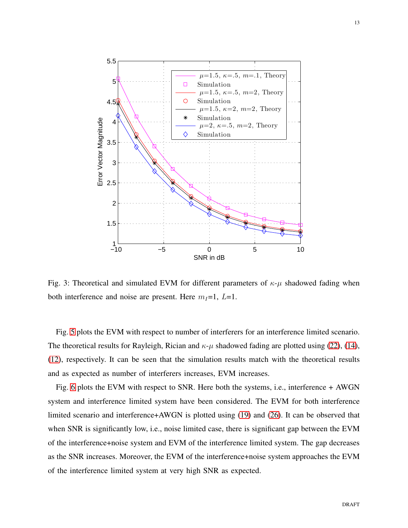<span id="page-12-0"></span>

Fig. 3: Theoretical and simulated EVM for different parameters of  $\kappa$ - $\mu$  shadowed fading when both interference and noise are present. Here  $m_I=1, L=1$ .

Fig. [5](#page-14-1) plots the EVM with respect to number of interferers for an interference limited scenario. The theoretical results for Rayleigh, Rician and  $\kappa$ - $\mu$  shadowed fading are plotted using [\(22\)](#page-9-2), [\(14\)](#page-6-1), [\(12\)](#page-5-1), respectively. It can be seen that the simulation results match with the theoretical results and as expected as number of interferers increases, EVM increases.

Fig. [6](#page-15-0) plots the EVM with respect to SNR. Here both the systems, i.e., interference + AWGN system and interference limited system have been considered. The EVM for both interference limited scenario and interference+AWGN is plotted using [\(19\)](#page-8-0) and [\(26\)](#page-10-2). It can be observed that when SNR is significantly low, i.e., noise limited case, there is significant gap between the EVM of the interference+noise system and EVM of the interference limited system. The gap decreases as the SNR increases. Moreover, the EVM of the interference+noise system approaches the EVM of the interference limited system at very high SNR as expected.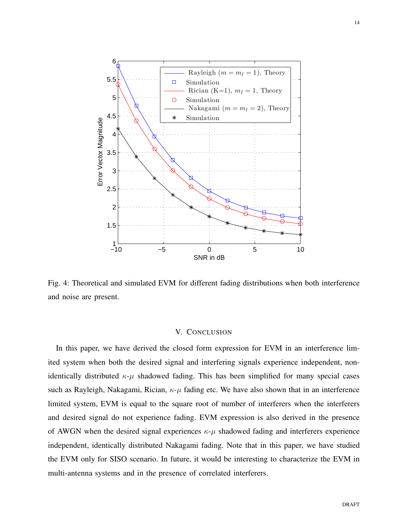<span id="page-13-0"></span>

Fig. 4: Theoretical and simulated EVM for different fading distributions when both interference and noise are present.

## V. CONCLUSION

In this paper, we have derived the closed form expression for EVM in an interference limited system when both the desired signal and interfering signals experience independent, nonidentically distributed  $\kappa-\mu$  shadowed fading. This has been simplified for many special cases such as Rayleigh, Nakagami, Rician,  $\kappa$ - $\mu$  fading etc. We have also shown that in an interference limited system, EVM is equal to the square root of number of interferers when the interferers and desired signal do not experience fading. EVM expression is also derived in the presence of AWGN when the desired signal experiences  $\kappa-\mu$  shadowed fading and interferers experience independent, identically distributed Nakagami fading. Note that in this paper, we have studied the EVM only for SISO scenario. In future, it would be interesting to characterize the EVM in multi-antenna systems and in the presence of correlated interferers.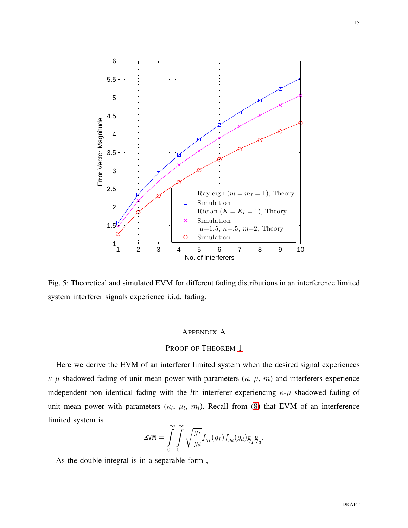<span id="page-14-1"></span>

Fig. 5: Theoretical and simulated EVM for different fading distributions in an interference limited system interferer signals experience i.i.d. fading.

# APPENDIX A

# <span id="page-14-0"></span>PROOF OF THEOREM [1](#page-5-2)

Here we derive the EVM of an interferer limited system when the desired signal experiences  $\kappa$ - $\mu$  shadowed fading of unit mean power with parameters ( $\kappa$ ,  $\mu$ ,  $m$ ) and interferers experience independent non identical fading with the *l*th interferer experiencing  $\kappa$ - $\mu$  shadowed fading of unit mean power with parameters  $(\kappa_l, \mu_l, m_l)$ . Recall from [\(8\)](#page-3-5) that EVM of an interference limited system is

$$
\text{EVM} = \int\limits_0^\infty \int\limits_0^\infty \sqrt{\frac{g_I}{g_d}} f_{g_I}(g_I) f_{g_d}(g_d) g_I^{\dagger} g_d.
$$

As the double integral is in a separable form ,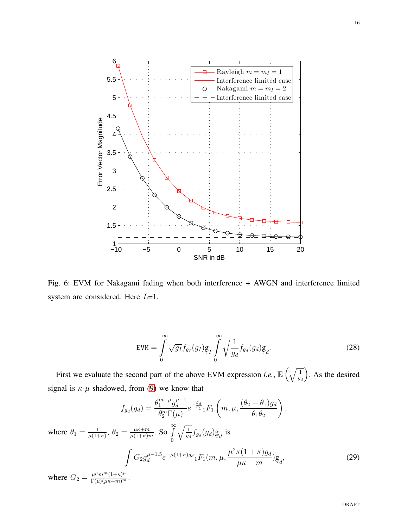<span id="page-15-0"></span>

Fig. 6: EVM for Nakagami fading when both interference + AWGN and interference limited system are considered. Here  $L=1$ .

<span id="page-15-2"></span>
$$
\text{EVM} = \int_{0}^{\infty} \sqrt{g_I} f_{g_I}(g_I) g_I \int_{0}^{\infty} \sqrt{\frac{1}{g_d}} f_{g_d}(g_d) g_d.
$$
 (28)

First we evaluate the second part of the above EVM expression *i.e.*,  $\mathbb{E}\left(\sqrt{\frac{1}{a}}\right)$ gd ). As the desired signal is  $\kappa$ - $\mu$  shadowed, from [\(9\)](#page-4-0) we know that

<span id="page-15-1"></span>
$$
f_{g_d}(g_d) = \frac{\theta_1^{m-\mu} g_d^{\mu-1}}{\theta_2^m \Gamma(\mu)} e^{-\frac{g_d}{\theta_1}} {}_{1}F_1\left(m, \mu, \frac{(\theta_2 - \theta_1)g_d}{\theta_1 \theta_2}\right),
$$
  
where  $\theta_1 = \frac{1}{\mu(1+\kappa)}, \theta_2 = \frac{\mu\kappa+m}{\mu(1+\kappa)m}$ . So  $\int_0^\infty \sqrt{\frac{1}{g_d}} f_{g_d}(g_d) g_d$  is  

$$
\int G_2 g_d^{\mu-1.5} e^{-\mu(1+\kappa)g_d} {}_{1}F_1(m, \mu, \frac{\mu^2 \kappa(1+\kappa)g_d}{\mu\kappa+m}) g_d,
$$
(29)  
where  $G_2 = \frac{\mu^{\mu} m^m (1+\kappa)^{\mu}}{\Gamma(\mu)(\mu\kappa+m)^m}$ .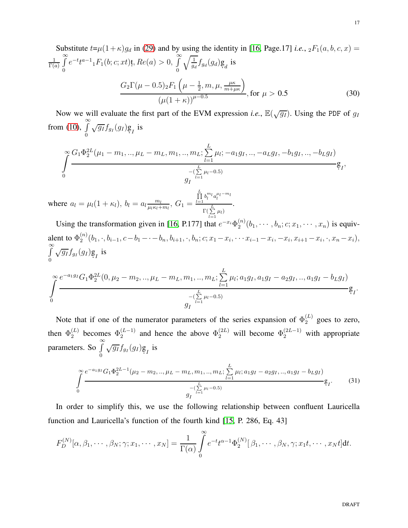Substitute 
$$
t=\mu(1+\kappa)g_d
$$
 in (29) and by using the identity in [16, Page.17] *i.e.*,  ${}_2F_1(a, b, c, x) = \frac{1}{\Gamma(a)} \int_{0}^{\infty} e^{-t} t^{a-1} {}_1F_1(b; c; xt) t$ ,  $Re(a) > 0$ ,  $\int_{0}^{\infty} \sqrt{\frac{1}{g_d}} f_{g_d}(g_d) g_d$  is  

$$
\frac{G_2 \Gamma(\mu - 0.5)_2 F_1(\mu - \frac{1}{2}, m, \mu, \frac{\mu \kappa}{m + \mu \kappa})}{(\mu(1+\kappa))^{\mu - 0.5}}
$$
, for  $\mu > 0.5$  (30)

<span id="page-16-1"></span>Now we will evaluate the first part of the EVM expression *i.e.*,  $\mathbb{E}(\sqrt{g_I})$ . Using the PDF of  $g_I$ from [\(10\)](#page-4-1),  $\int_{0}^{\infty}$ 0  $\sqrt{g_I} f_{g_I}(g_I) g_I$  is

$$
\int_{0}^{\infty} \frac{G_1 \Phi_2^{2L}(\mu_1 - m_1, ..., \mu_L - m_L, m_1, ..., m_L; \sum_{l=1}^{L} \mu_l; -a_1 g_l, ..., -a_L g_l, -b_1 g_l, ..., -b_L g_l)}{g_I} \underbrace{\mathfrak{g}_I,}_{l=1}
$$

where  $a_l = \mu_l(1 + \kappa_l)$ ,  $b_l = a_l \frac{m_l}{\mu_l \kappa_l + \kappa_l}$  $\frac{m_l}{\mu_l \kappa_l+m_l},\ G_1=$  $\prod_{l=1}^L b_l^{m_l} a_l^{\mu_l-m_l}$  $Γ($  $\sum^L \mu_l)$  $l=1$ 

Using the transformation given in [\[16,](#page-20-15) P.177] that  $e^{-x_i} \Phi_2^{(n)}$  $2^{(n)}(b_1, \dots, b_n; c; x_1, \dots, x_n)$  is equivalent to  $\Phi_2^{(n)}$  $2^{(n)}(b_1, \cdot, b_{i-1}, c - b_1 - \cdot - b_n, b_{i+1}, \cdot, b_n; c; x_1 - x_i, \cdots x_{i-1} - x_i, -x_i, x_{i+1} - x_i, \cdot, x_n - x_i),$  $\int$  $\boldsymbol{0}$  $\sqrt{g_I} f_{g_I}(g_I) g_I$  is

.

$$
\int_{0}^{\infty} \frac{e^{-a_1g_I} G_1 \Phi_2^{2L}(0, \mu_2 - m_2, ..., \mu_L - m_L, m_1, ..., m_L; \sum_{l=1}^{L} \mu_l; a_1g_I, a_1g_I - a_2g_I, ..., a_1g_I - b_Lg_I)}{g_I} g_I.
$$

Note that if one of the numerator parameters of the series expansion of  $\Phi_2^{(L)}$  goes to zero, then  $\Phi_2^{(L)}$  $\Phi_2^{(L)}$  becomes  $\Phi_2^{(L-1)}$  $\Phi_2^{(L-1)}$  and hence the above  $\Phi_2^{(2L)}$  will become  $\Phi_2^{(2L-1)}$  with appropriate parameters. So  $\int_0^\infty$  $\boldsymbol{0}$  $\sqrt{g_I} f_{g_I}(g_I) g_I$  is

<span id="page-16-0"></span>
$$
\int_{0}^{\infty} \frac{e^{-a_1 g_I} G_1 \Phi_2^{2L-1} (\mu_2 - m_2, ..., \mu_L - m_L, m_1, ..., m_L; \sum_{l=1}^{L} \mu_l; a_1 g_I - a_2 g_I, ..., a_1 g_I - b_L g_I)}{g_I e^{\sum_{l=1}^{L} \mu_l - 0.5}} \mathfrak{g}_I.
$$
 (31)

In order to simplify this, we use the following relationship between confluent Lauricella function and Lauricella's function of the fourth kind [\[15,](#page-20-14) P. 286, Eq. 43]

$$
F_D^{(N)}[\alpha, \beta_1, \cdots, \beta_N; \gamma; x_1, \cdots, x_N] = \frac{1}{\Gamma(\alpha)} \int_0^\infty e^{-t} t^{\alpha-1} \Phi_2^{(N)}[\beta_1, \cdots, \beta_N, \gamma; x_1 t, \cdots, x_N t] dt.
$$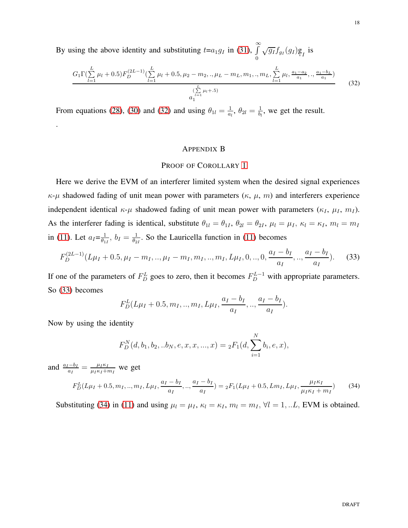By using the above identity and substituting  $t=a_1g_I$  in [\(31\)](#page-16-0),  $\int_{0}^{\infty}$ 0  $\sqrt{g_I} f_{g_I}(g_I) g_I$  is

<span id="page-17-1"></span>
$$
\frac{G_1 \Gamma(\sum_{l=1}^{L} \mu_l + 0.5) F_D^{(2L-1)}(\sum_{l=1}^{L} \mu_l + 0.5, \mu_2 - m_2,., \mu_L - m_L, m_1,., m_L, \sum_{l=1}^{L} \mu_l, \frac{a_1 - a_2}{a_1},., \frac{a_1 - b_L}{a_1})}{\sum_{l=1}^{\left(\sum_{l=1}^{L} \mu_l + .5\right)} (32)}
$$

From equations [\(28\)](#page-15-2), [\(30\)](#page-16-1) and [\(32\)](#page-17-1) and using  $\theta_{1l} = \frac{1}{a}$  $\frac{1}{a_l}, \theta_{2l} = \frac{1}{b_l}$  $\frac{1}{b_l}$ , we get the result.

## APPENDIX B

## <span id="page-17-0"></span>PROOF OF COROLLARY [1](#page-5-3)

Here we derive the EVM of an interferer limited system when the desired signal experiences  $\kappa$ - $\mu$  shadowed fading of unit mean power with parameters ( $\kappa$ ,  $\mu$ ,  $m$ ) and interferers experience independent identical  $\kappa$ - $\mu$  shadowed fading of unit mean power with parameters ( $\kappa_I$ ,  $\mu_I$ ,  $m_I$ ). As the interferer fading is identical, substitute  $\theta_{1l} = \theta_{1l}$ ,  $\theta_{2l} = \theta_{2l}$ ,  $\mu_l = \mu_l$ ,  $\kappa_l = \kappa_l$ ,  $m_l = m_l$ in [\(11\)](#page-5-0). Let  $a_{I} = \frac{1}{\theta_{1}}$  $\frac{1}{\theta_{1I}}$ ,  $b_I = \frac{1}{\theta_2}$  $\frac{1}{\theta_{21}}$ . So the Lauricella function in [\(11\)](#page-5-0) becomes

<span id="page-17-2"></span>
$$
F_D^{(2L-1)}(L\mu_I + 0.5, \mu_I - m_I, ..., \mu_I - m_I, m_I, ..., m_I, L\mu_I, 0, ..., 0, \frac{a_I - b_I}{a_I}, ..., \frac{a_I - b_I}{a_I}).
$$
 (33)

If one of the parameters of  $F_D^L$  goes to zero, then it becomes  $F_D^{L-1}$  with appropriate parameters. So [\(33\)](#page-17-2) becomes

$$
F_D^L(L\mu_I+0.5, m_I, ..., m_I, L\mu_I, \frac{a_I - b_I}{a_I}, ..., \frac{a_I - b_I}{a_I}).
$$

Now by using the identity

.

$$
F_D^N(d, b_1, b_2, ...b_N, e, x, x, ..., x) = {}_2F_1(d, \sum_{i=1}^N b_i, e, x),
$$

and  $\frac{a_I - b_I}{a_I} = \frac{\mu_I \kappa_I}{\mu_I \kappa_I + i}$  $\frac{\mu_I \kappa_I}{\mu_I \kappa_I + m_I}$  we get

<span id="page-17-3"></span>
$$
F_D^L(L\mu_I + 0.5, m_I, .., m_I, L\mu_I, \frac{a_I - b_I}{a_I}, .., \frac{a_I - b_I}{a_I}) = {}_2F_1(L\mu_I + 0.5, Lm_I, L\mu_I, \frac{\mu_I \kappa_I}{\mu_I \kappa_I + m_I})
$$
(34)

Substituting [\(34\)](#page-17-3) in [\(11\)](#page-5-0) and using  $\mu_l = \mu_I$ ,  $\kappa_l = \kappa_I$ ,  $m_l = m_I$ ,  $\forall l = 1, ...L$ , EVM is obtained.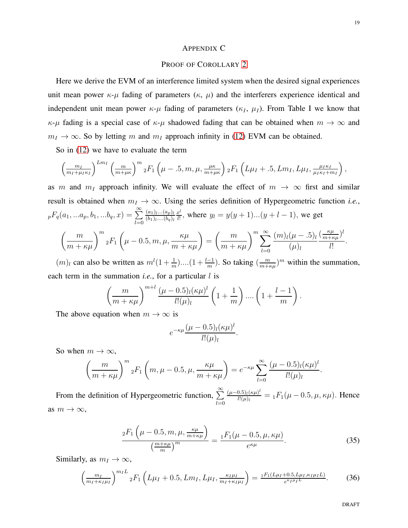#### APPENDIX C

#### <span id="page-18-0"></span>PROOF OF COROLLARY [2](#page-6-0)

Here we derive the EVM of an interference limited system when the desired signal experiences unit mean power  $\kappa$ - $\mu$  fading of parameters ( $\kappa$ ,  $\mu$ ) and the interferers experience identical and independent unit mean power  $\kappa$ - $\mu$  fading of parameters ( $\kappa_I$ ,  $\mu_I$ ). From Table I we know that  $\kappa$ - $\mu$  fading is a special case of  $\kappa$ - $\mu$  shadowed fading that can be obtained when  $m \to \infty$  and  $m_I \rightarrow \infty$ . So by letting m and  $m_I$  approach infinity in [\(12\)](#page-5-1) EVM can be obtained.

So in [\(12\)](#page-5-1) we have to evaluate the term

$$
\left(\frac{m_I}{m_I+\mu_I\kappa_I}\right)^{Lm_I}\left(\frac{m}{m+\mu\kappa}\right)^m{}_2F_1\left(\mu-.5,m,\mu,\frac{\mu\kappa}{m+\mu\kappa}\right){}_2F_1\left(L\mu_I+.5,Lm_I,L\mu_I,\frac{\mu_I\kappa_I}{\mu_I\kappa_I+m_I}\right),
$$

as m and  $m<sub>I</sub>$  approach infinity. We will evaluate the effect of  $m \to \infty$  first and similar result is obtained when  $m_I \to \infty$ . Using the series definition of Hypergeometric function *i.e.*,  ${}_{p}F_{q}(a_1, ... a_p, b_1, ... b_q, x) = \sum_{n=0}^{\infty}$  $_{l=0}$  $(a_1)_{l}... (a_p)_{l}$  $(b_1)$ <sub>l</sub> $\ldots$  $(b_q)$ <sub>l</sub>  $x^l$  $\frac{v}{l!}$ , where  $y_l = y(y + 1)...(y + l - 1)$ , we get  $\left(\frac{m}{m+\kappa\mu}\right)^m {}_2F_1\left(\mu-0.5, m, \mu,\right.$  $\left(\frac{\kappa\mu}{m+\kappa\mu}\right)$ =  $\left(\frac{m}{m+\kappa\mu}\right)^m\sum_{l=0}^\infty$  $(m)_{l}(\mu-.5)_{l}$  $(\mu)_l$  $\left(\frac{\kappa\mu}{m+\kappa}\right)$  $\frac{\kappa\mu}{m+\kappa\mu}$ <sup>l</sup> l! .

 $(m)$  can also be written as  $m^l(1+\frac{1}{m})\dots(1+\frac{l-1}{m})$ . So taking  $\left(\frac{m}{m+l}\right)$  $\frac{m}{m+\kappa\mu}$ <sup>m</sup> within the summation, each term in the summation *i.e.*, for a particular *l* is

$$
\left(\frac{m}{m+\kappa\mu}\right)^{m+l} \frac{(\mu-0.5)_l(\kappa\mu)^l}{l!(\mu)_l} \left(1+\frac{1}{m}\right) \dots \left(1+\frac{l-1}{m}\right)
$$

The above equation when  $m \to \infty$  is

$$
e^{-\kappa\mu}\frac{(\mu-0.5)_l(\kappa\mu)^l}{l!(\mu)_l}.
$$

So when  $m \to \infty$ ,

$$
\left(\frac{m}{m+\kappa\mu}\right)^m {}_2F_1\left(m,\mu-0.5,\mu,\frac{\kappa\mu}{m+\kappa\mu}\right) = e^{-\kappa\mu} \sum_{l=0}^{\infty} \frac{(\mu-0.5)_l(\kappa\mu)^l}{l!(\mu)_l}
$$

From the definition of Hypergeometric function,  $\sum_{n=1}^{\infty}$  $_{l=0}$  $(\mu-0.5)$ <sub>l</sub> $(\kappa\mu)^l$  $\frac{d_{0.5}(\kappa\mu)^2}{d!(\mu)} = {}_1F_1(\mu-0.5, \mu, \kappa\mu)$ . Hence as  $m \to \infty$ ,

<span id="page-18-1"></span>
$$
\frac{{}_2F_1\left(\mu-0.5,m,\mu,\frac{\kappa\mu}{m+\kappa\mu}\right)}{\left(\frac{m+\kappa\mu}{m}\right)^m} = \frac{{}_1F_1(\mu-0.5,\mu,\kappa\mu)}{e^{\kappa\mu}}.\tag{35}
$$

.

.

Similarly, as  $m_I \to \infty$ ,

<span id="page-18-2"></span>
$$
\left(\frac{m_I}{m_I + \kappa_I \mu_I}\right)^{m_I L} {}_2F_1\left(L\mu_I + 0.5, Lm_I, L\mu_I, \frac{\kappa_I \mu_I}{m_I + \kappa_I \mu_I}\right) = \frac{{}_1F_1(L\mu_I + 0.5, L\mu_I, \kappa_I \mu_I L)}{e^{\kappa_I \mu_I L}}.\tag{36}
$$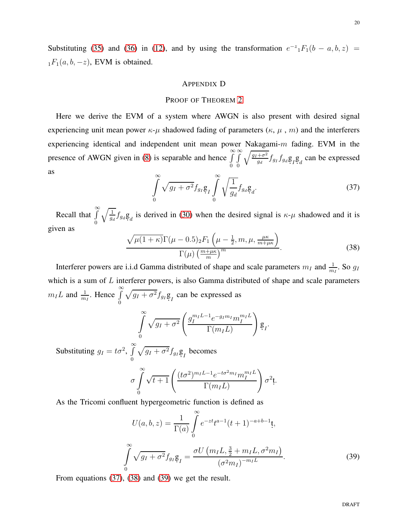Substituting [\(35\)](#page-18-1) and [\(36\)](#page-18-2) in [\(12\)](#page-5-1), and by using the transformation  $e^{-z} {}_1F_1(b-a,b,z)$  =  $_1F_1(a, b, -z)$ , EVM is obtained.

## APPENDIX D

## <span id="page-19-0"></span>PROOF OF THEOREM [2](#page-10-4)

Here we derive the EVM of a system where AWGN is also present with desired signal experiencing unit mean power  $\kappa-\mu$  shadowed fading of parameters  $(\kappa, \mu, m)$  and the interferent experiencing identical and independent unit mean power Nakagami-m fading. EVM in the presence of AWGN given in [\(8\)](#page-3-5) is separable and hence  $\int_{0}^{\infty}$ 0  $\int$ 0  $\sqrt{g_I+\sigma^2}$  $\frac{+\sigma^2}{g_d} f_{g_d} g_{I} g_{d}$  can be expressed as

<span id="page-19-1"></span>
$$
\int_{0}^{\infty} \sqrt{g_I + \sigma^2} f_{g_I} g_I \int_{0}^{\infty} \sqrt{\frac{1}{g_d}} f_{g_d} g_d.
$$
\n(37)

Recall that  $\int_0^\infty$ 0  $\sqrt{1}$  $\frac{1}{g_d} f_{g_d} g_d$  is derived in [\(30\)](#page-16-1) when the desired signal is  $\kappa$ - $\mu$  shadowed and it is given as

<span id="page-19-2"></span>
$$
\frac{\sqrt{\mu(1+\kappa)}\Gamma(\mu-0.5)_2 F_1\left(\mu-\frac{1}{2},m,\mu,\frac{\mu\kappa}{m+\mu\kappa}\right)}{\Gamma(\mu)\left(\frac{m+\mu\kappa}{m}\right)^m}.
$$
\n(38)

Interferer powers are i.i.d Gamma distributed of shape and scale parameters  $m_I$  and  $\frac{1}{m_I}$ . So  $g_I$ which is a sum of  $L$  interferer powers, is also Gamma distributed of shape and scale parameters  $m_I L$  and  $\frac{1}{m_I}$ . Hence  $\int_{\alpha}^{\infty}$ 0  $\sqrt{g_I + \sigma^2} f_{g_I} g_I$  can be expressed as

$$
\int_{0}^{\infty} \sqrt{g_I + \sigma^2} \left( \frac{g_I^{m_I L - 1} e^{-g_I m_I} m_I^{m_I L}}{\Gamma(m_I L)} \right) g_I.
$$

Substituting  $g_I = t\sigma^2$ ,  $\int_0^\infty$ 0  $\sqrt{g_I + \sigma^2} f_{g_I} g_I$  becomes

$$
\sigma \int_{0}^{\infty} \sqrt{t+1} \left( \frac{(t\sigma^2)^{m_I L - 1} e^{-t\sigma^2 m_I} m_I^{m_I L}}{\Gamma(m_I L)} \right) \sigma^2 \mathfrak{t}.
$$

As the Tricomi confluent hypergeometric function is defined as

<span id="page-19-3"></span>
$$
U(a, b, z) = \frac{1}{\Gamma(a)} \int_{0}^{\infty} e^{-zt} t^{a-1} (t+1)^{-a+b-1} t,
$$
  

$$
\int_{0}^{\infty} \sqrt{g_I + \sigma^2} f_{g_I} g_I = \frac{\sigma U (m_I L, \frac{3}{2} + m_I L, \sigma^2 m_I)}{(\sigma^2 m_I)^{-m_I L}}.
$$
 (39)

From equations [\(37\)](#page-19-1), [\(38\)](#page-19-2) and [\(39\)](#page-19-3) we get the result.